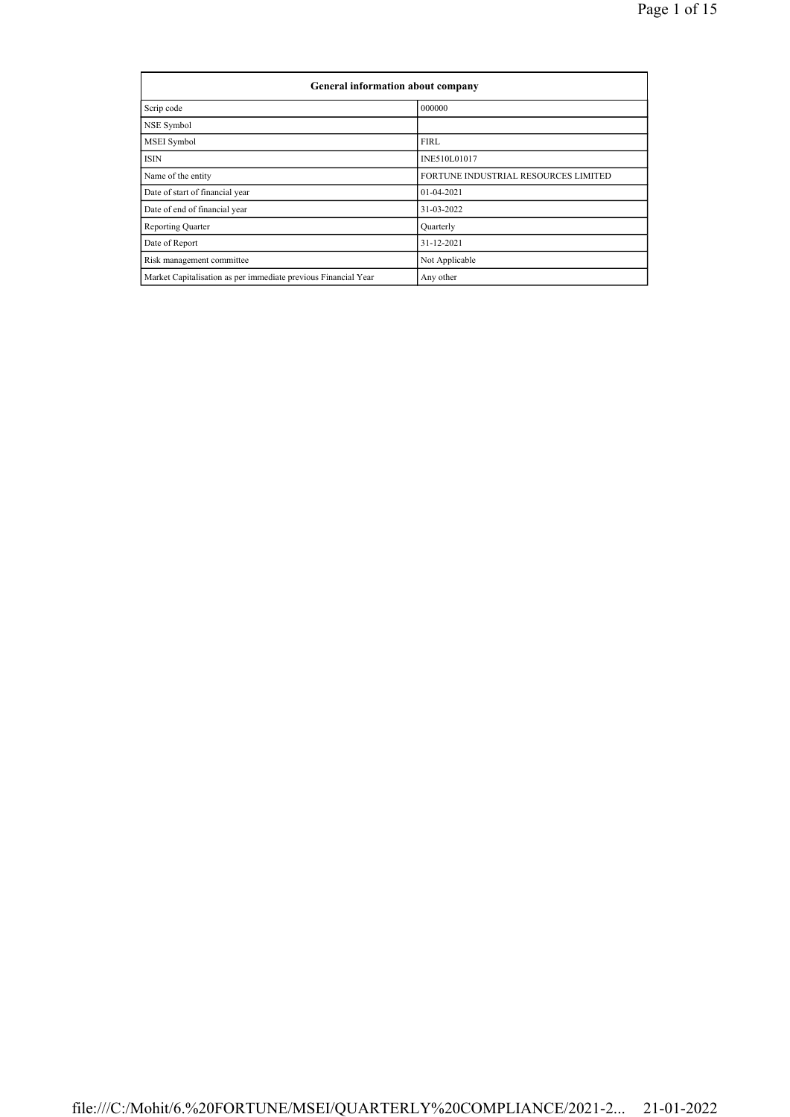| General information about company                              |                                      |  |  |  |  |  |  |  |
|----------------------------------------------------------------|--------------------------------------|--|--|--|--|--|--|--|
| Scrip code                                                     | 000000                               |  |  |  |  |  |  |  |
| NSE Symbol                                                     |                                      |  |  |  |  |  |  |  |
| MSEI Symbol                                                    | <b>FIRL</b>                          |  |  |  |  |  |  |  |
| <b>ISIN</b>                                                    | INE510L01017                         |  |  |  |  |  |  |  |
| Name of the entity                                             | FORTUNE INDUSTRIAL RESOURCES LIMITED |  |  |  |  |  |  |  |
| Date of start of financial year                                | 01-04-2021                           |  |  |  |  |  |  |  |
| Date of end of financial year                                  | 31-03-2022                           |  |  |  |  |  |  |  |
| <b>Reporting Quarter</b>                                       | Quarterly                            |  |  |  |  |  |  |  |
| Date of Report                                                 | 31-12-2021                           |  |  |  |  |  |  |  |
| Risk management committee                                      | Not Applicable                       |  |  |  |  |  |  |  |
| Market Capitalisation as per immediate previous Financial Year | Any other                            |  |  |  |  |  |  |  |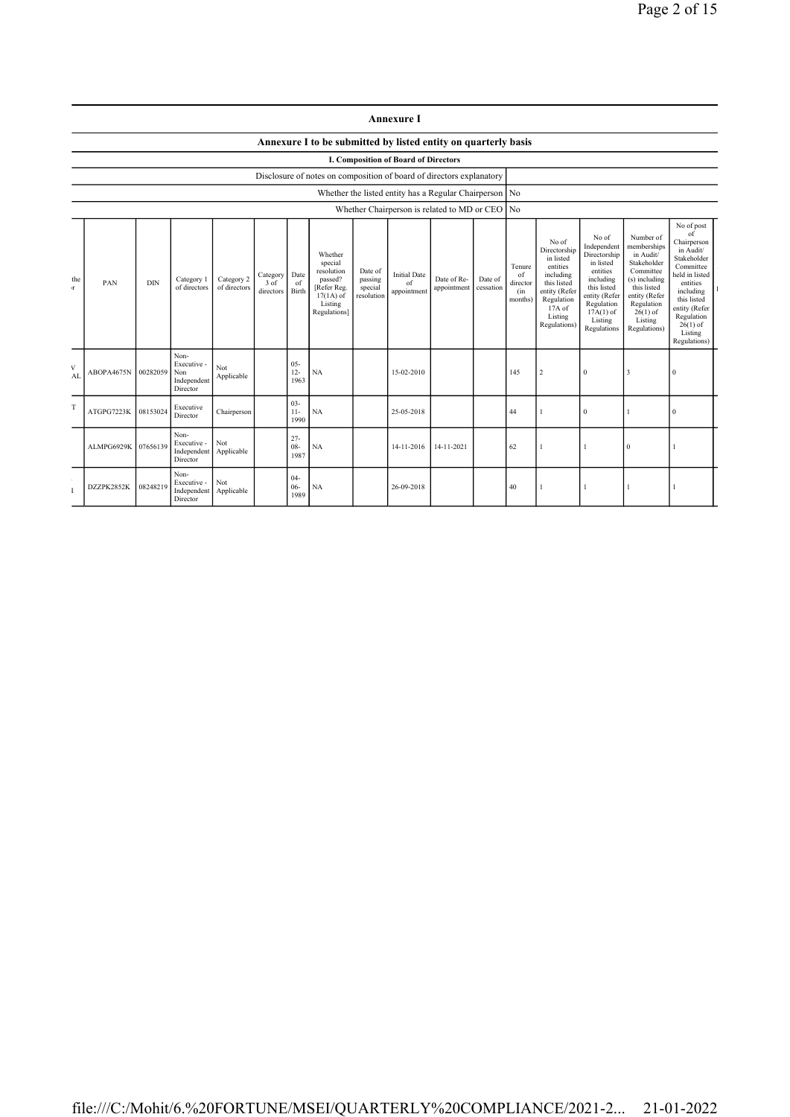|          |                                                        |                                                                      |                                                       |                            |                                    |                          |                                                                                                      |                                             | <b>Annexure I</b>                        |                                             |                      |                                            |                                                                                                                                                |                                                                                                                                                                   |                                                                                                                                                                           |                                                                                                                                                                                                            |
|----------|--------------------------------------------------------|----------------------------------------------------------------------|-------------------------------------------------------|----------------------------|------------------------------------|--------------------------|------------------------------------------------------------------------------------------------------|---------------------------------------------|------------------------------------------|---------------------------------------------|----------------------|--------------------------------------------|------------------------------------------------------------------------------------------------------------------------------------------------|-------------------------------------------------------------------------------------------------------------------------------------------------------------------|---------------------------------------------------------------------------------------------------------------------------------------------------------------------------|------------------------------------------------------------------------------------------------------------------------------------------------------------------------------------------------------------|
|          |                                                        |                                                                      |                                                       |                            |                                    |                          | Annexure I to be submitted by listed entity on quarterly basis                                       |                                             |                                          |                                             |                      |                                            |                                                                                                                                                |                                                                                                                                                                   |                                                                                                                                                                           |                                                                                                                                                                                                            |
|          |                                                        | <b>I. Composition of Board of Directors</b>                          |                                                       |                            |                                    |                          |                                                                                                      |                                             |                                          |                                             |                      |                                            |                                                                                                                                                |                                                                                                                                                                   |                                                                                                                                                                           |                                                                                                                                                                                                            |
|          |                                                        | Disclosure of notes on composition of board of directors explanatory |                                                       |                            |                                    |                          |                                                                                                      |                                             |                                          |                                             |                      |                                            |                                                                                                                                                |                                                                                                                                                                   |                                                                                                                                                                           |                                                                                                                                                                                                            |
|          | Whether the listed entity has a Regular Chairperson No |                                                                      |                                                       |                            |                                    |                          |                                                                                                      |                                             |                                          |                                             |                      |                                            |                                                                                                                                                |                                                                                                                                                                   |                                                                                                                                                                           |                                                                                                                                                                                                            |
|          |                                                        |                                                                      |                                                       |                            |                                    |                          |                                                                                                      |                                             |                                          | Whether Chairperson is related to MD or CEO |                      | No                                         |                                                                                                                                                |                                                                                                                                                                   |                                                                                                                                                                           |                                                                                                                                                                                                            |
| the<br>Æ | PAN                                                    | <b>DIN</b>                                                           | Category 1<br>of directors                            | Category 2<br>of directors | Category Date<br>3 of<br>directors | of<br>Birth              | Whether<br>special<br>resolution<br>passed?<br>[Refer Reg.<br>$17(1A)$ of<br>Listing<br>Regulations] | Date of<br>passing<br>special<br>resolution | <b>Initial Date</b><br>of<br>appointment | Date of Re-<br>appointment                  | Date of<br>cessation | Tenure<br>of<br>director<br>(in<br>months) | No of<br>Directorship<br>in listed<br>entities<br>including<br>this listed<br>entity (Refer<br>Regulation<br>17A of<br>Listing<br>Regulations) | No of<br>Independent<br>Directorship<br>in listed<br>entities<br>including<br>this listed<br>entity (Refer<br>Regulation<br>$17A(1)$ of<br>Listing<br>Regulations | Number of<br>memberships<br>in Audit/<br>Stakeholder<br>Committee<br>(s) including<br>this listed<br>entity (Refer<br>Regulation<br>$26(1)$ of<br>Listing<br>Regulations) | No of post<br>of<br>Chairperson<br>in Audit/<br>Stakeholder<br>Committee<br>held in listed<br>entities<br>including<br>this listed<br>entity (Refer<br>Regulation<br>$26(1)$ of<br>Listing<br>Regulations) |
| V<br>AL  | ABOPA4675N                                             | 00282059                                                             | Non-<br>Executive -<br>Non<br>Independent<br>Director | Not<br>Applicable          |                                    | $05 -$<br>$12 -$<br>1963 | NA                                                                                                   |                                             | 15-02-2010                               |                                             |                      | 145                                        | 2                                                                                                                                              | $\mathbf{0}$                                                                                                                                                      | 3                                                                                                                                                                         | $\theta$                                                                                                                                                                                                   |
| T        | ATGPG7223K                                             | 08153024                                                             | Executive<br>Director                                 | Chairperson                |                                    | $03 -$<br>$11-$<br>1990  | NA                                                                                                   |                                             | 25-05-2018                               |                                             |                      | 44                                         |                                                                                                                                                | $\mathbf{0}$                                                                                                                                                      |                                                                                                                                                                           | $\mathbf{0}$                                                                                                                                                                                               |
|          | ALMPG6929K                                             | 07656139                                                             | Non-<br>Executive -<br>Independent<br>Director        | Not<br>Applicable          |                                    | $27 -$<br>$08 -$<br>1987 | NA                                                                                                   |                                             | 14-11-2016                               | 14-11-2021                                  |                      | 62                                         |                                                                                                                                                |                                                                                                                                                                   | $\Omega$                                                                                                                                                                  |                                                                                                                                                                                                            |
|          | DZZPK2852K                                             | 08248219                                                             | Non-<br>Executive -<br>Independent<br>Director        | Not<br>Applicable          |                                    | $04 -$<br>$06 -$<br>1989 | NA                                                                                                   |                                             | 26-09-2018                               |                                             |                      | 40                                         |                                                                                                                                                |                                                                                                                                                                   |                                                                                                                                                                           |                                                                                                                                                                                                            |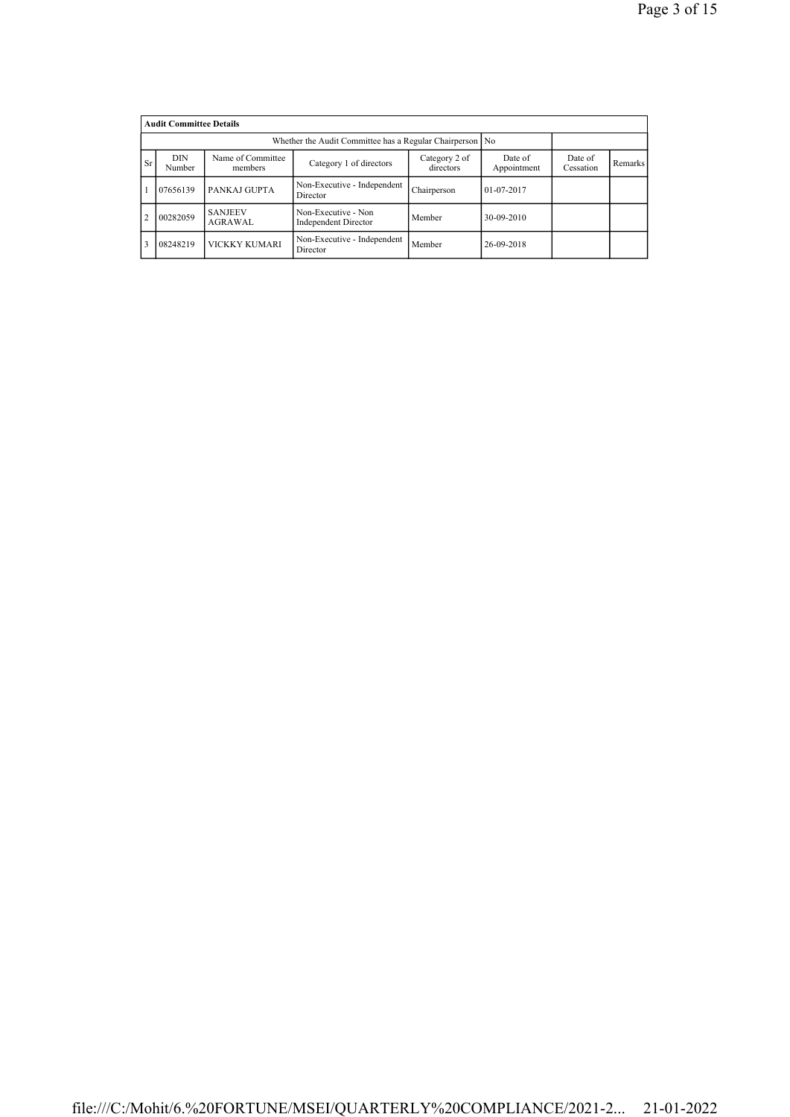|                | <b>Audit Committee Details</b>                                                                                                          |                                                          |                                             |             |                  |  |  |
|----------------|-----------------------------------------------------------------------------------------------------------------------------------------|----------------------------------------------------------|---------------------------------------------|-------------|------------------|--|--|
|                |                                                                                                                                         | Whether the Audit Committee has a Regular Chairperson No |                                             |             |                  |  |  |
| Sr             | Name of Committee<br><b>DIN</b><br>Category 2 of<br>Date of<br>Category 1 of directors<br>directors<br>Number<br>Appointment<br>members |                                                          | Date of<br>Cessation                        | Remarks     |                  |  |  |
|                | 07656139                                                                                                                                | PANKAJ GUPTA                                             | Non-Executive - Independent<br>Director     | Chairperson | $01 - 07 - 2017$ |  |  |
| $\overline{c}$ | 00282059                                                                                                                                | <b>SANJEEV</b><br>AGRAWAL                                | Non-Executive - Non<br>Independent Director | Member      | 30-09-2010       |  |  |
| 3              | 08248219                                                                                                                                | VICKKY KUMARI                                            | Non-Executive - Independent<br>Director     | Member      | 26-09-2018       |  |  |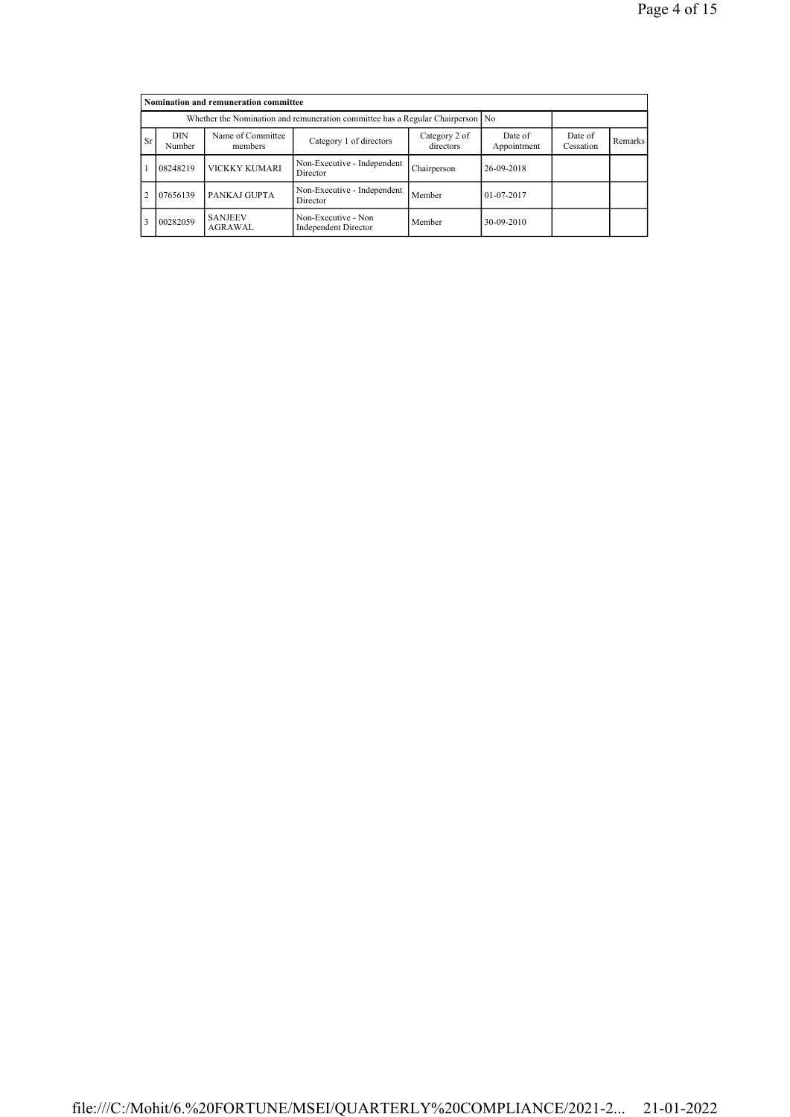|           |                      | Nomination and remuneration committee                                          |                                             |                      |                  |  |  |
|-----------|----------------------|--------------------------------------------------------------------------------|---------------------------------------------|----------------------|------------------|--|--|
|           |                      | Whether the Nomination and remuneration committee has a Regular Chairperson No |                                             |                      |                  |  |  |
| <b>Sr</b> | <b>DIN</b><br>Number | Name of Committee<br>members                                                   | Date of<br>Appointment                      | Date of<br>Cessation | Remarks          |  |  |
|           | 08248219             | <b>VICKKY KUMARI</b>                                                           | Non-Executive - Independent<br>Director     | Chairperson          | 26-09-2018       |  |  |
|           | 07656139             | PANKAJ GUPTA                                                                   | Non-Executive - Independent<br>Director     | Member               | $01 - 07 - 2017$ |  |  |
|           | 00282059             | <b>SANJEEV</b><br>AGRAWAL                                                      | Non-Executive - Non<br>Independent Director | Member               | 30-09-2010       |  |  |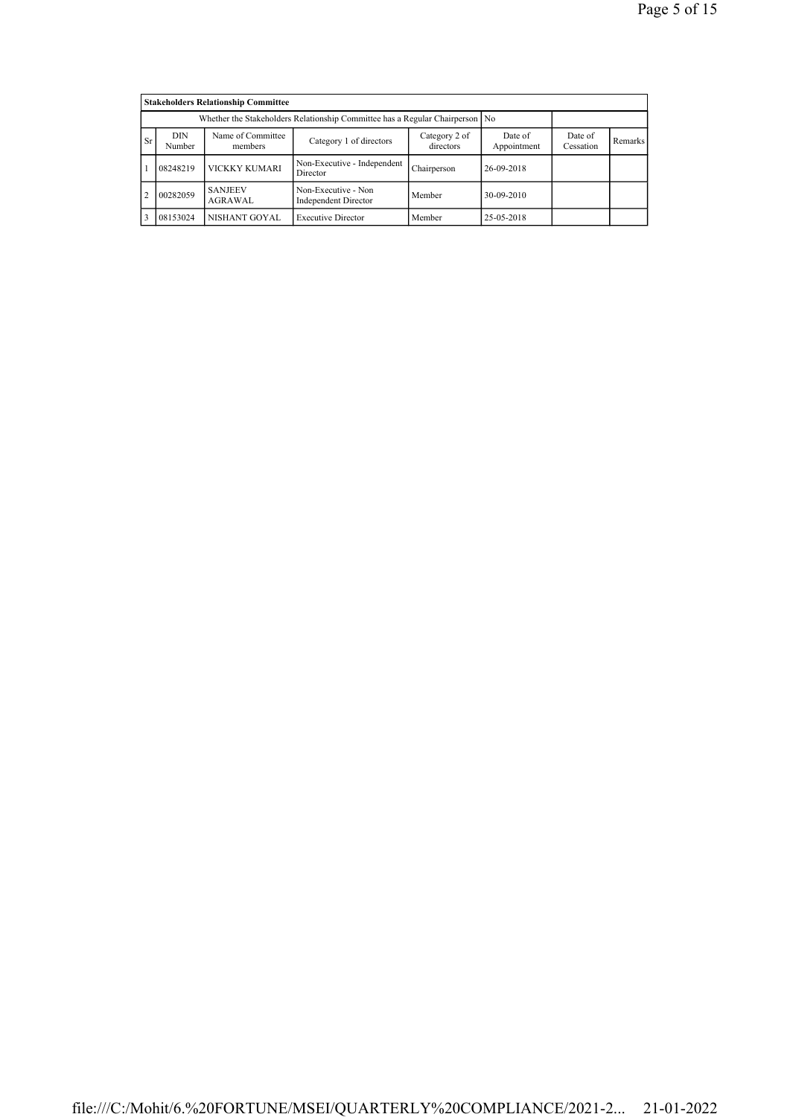|                |                                                                                                               | <b>Stakeholders Relationship Committee</b>                                   |                                             |             |                        |                      |         |
|----------------|---------------------------------------------------------------------------------------------------------------|------------------------------------------------------------------------------|---------------------------------------------|-------------|------------------------|----------------------|---------|
|                |                                                                                                               | Whether the Stakeholders Relationship Committee has a Regular Chairperson No |                                             |             |                        |                      |         |
| Sr.            | Name of Committee<br><b>DIN</b><br>Category 2 of<br>Category 1 of directors<br>directors<br>Number<br>members |                                                                              |                                             |             | Date of<br>Appointment | Date of<br>Cessation | Remarks |
|                | 08248219                                                                                                      | VICKKY KUMARI                                                                | Non-Executive - Independent<br>Director     | Chairperson | 26-09-2018             |                      |         |
| $\overline{2}$ | 00282059                                                                                                      | <b>SANJEEV</b><br>AGRAWAL                                                    | Non-Executive - Non<br>Independent Director | Member      | 30-09-2010             |                      |         |
| 3              | 08153024                                                                                                      | NISHANT GOYAL                                                                | <b>Executive Director</b>                   | Member      | 25-05-2018             |                      |         |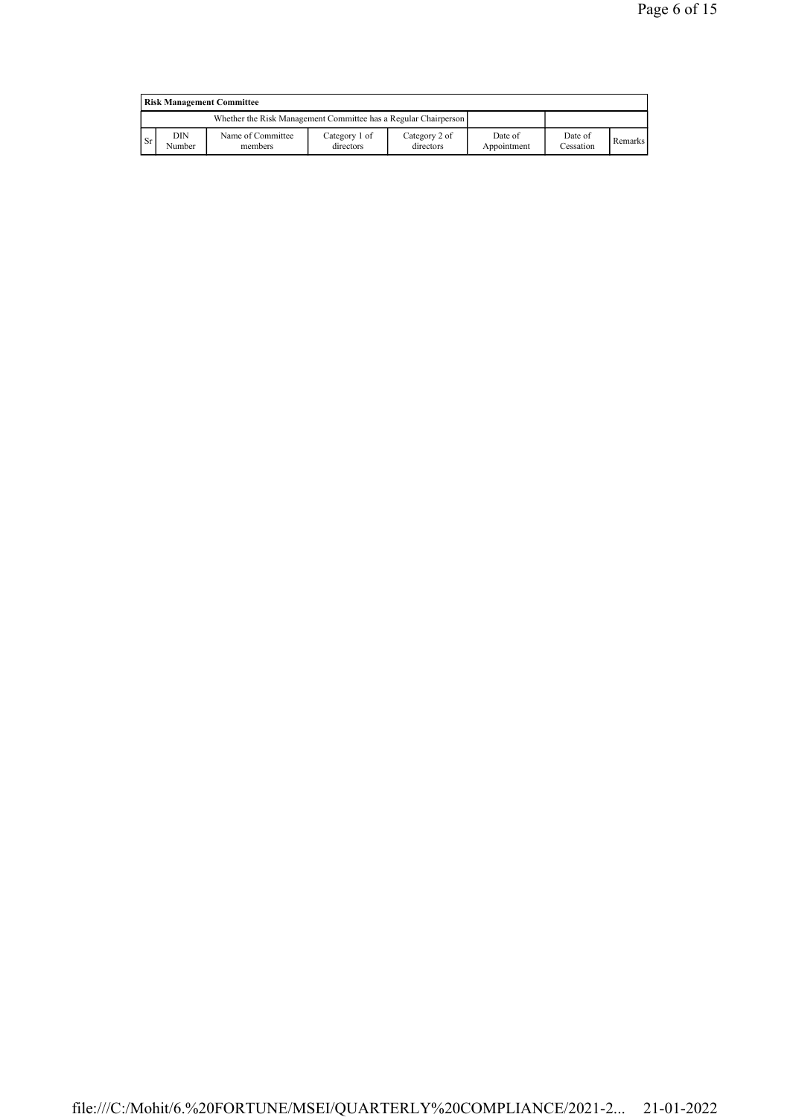|           | <b>Risk Management Committee</b> |                                                                 |                            |                            |                        |                      |         |  |  |  |
|-----------|----------------------------------|-----------------------------------------------------------------|----------------------------|----------------------------|------------------------|----------------------|---------|--|--|--|
|           |                                  | Whether the Risk Management Committee has a Regular Chairperson |                            |                            |                        |                      |         |  |  |  |
| <b>Sr</b> | DIN<br>Number                    | Name of Committee<br>members                                    | Category 1 of<br>directors | Category 2 of<br>directors | Date of<br>Appointment | Date of<br>Cessation | Remarks |  |  |  |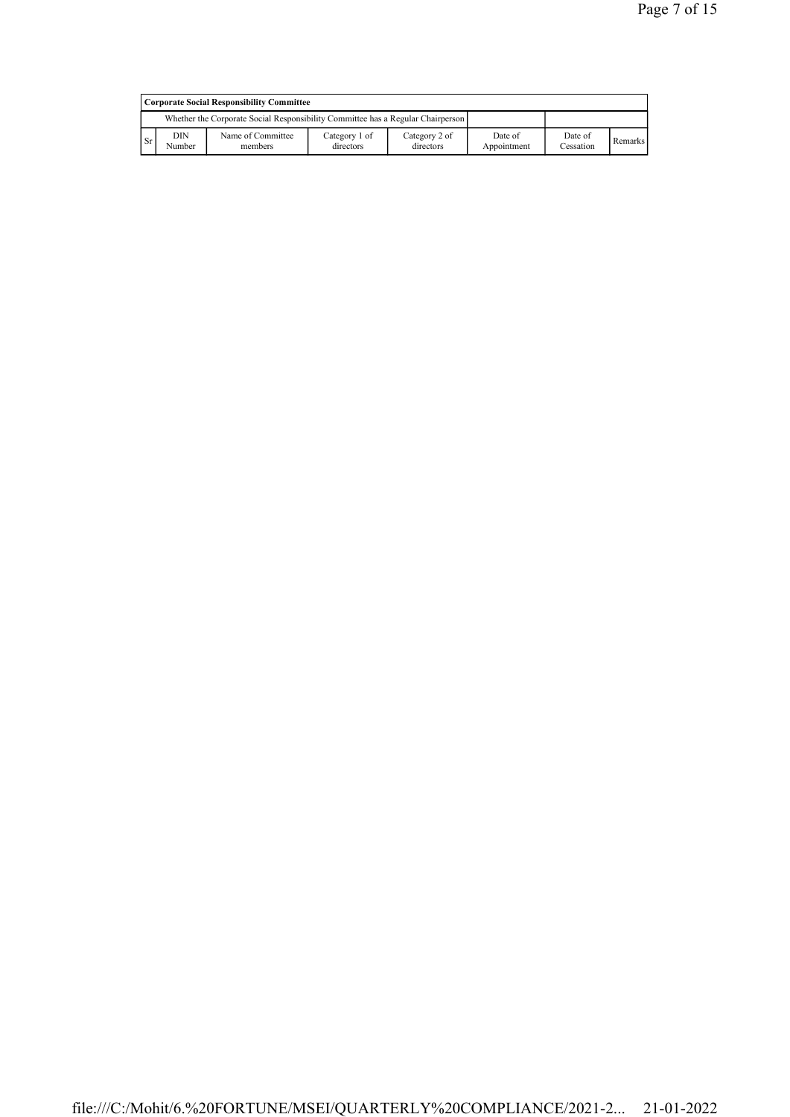|           | Corporate Social Responsibility Committee |                                                                                 |                            |                            |                        |                      |         |  |  |  |
|-----------|-------------------------------------------|---------------------------------------------------------------------------------|----------------------------|----------------------------|------------------------|----------------------|---------|--|--|--|
|           |                                           | Whether the Corporate Social Responsibility Committee has a Regular Chairperson |                            |                            |                        |                      |         |  |  |  |
| <b>Sr</b> | DIN<br>Number                             | Name of Committee<br>members                                                    | Category 1 of<br>directors | Category 2 of<br>directors | Date of<br>Appointment | Date of<br>Cessation | Remarks |  |  |  |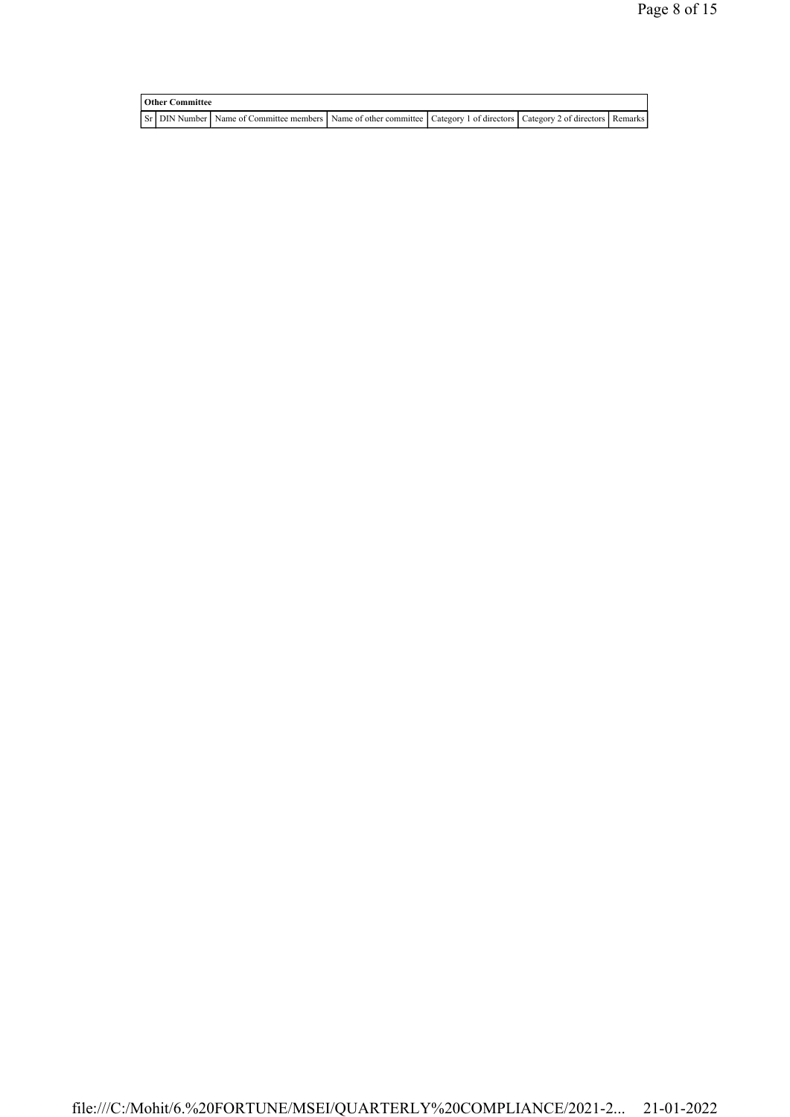| <b>Other Committee</b> |  |                                                                                                                         |  |  |  |  |
|------------------------|--|-------------------------------------------------------------------------------------------------------------------------|--|--|--|--|
|                        |  | Sr DIN Number Name of Committee members Name of other committee Category 1 of directors Category 2 of directors Remarks |  |  |  |  |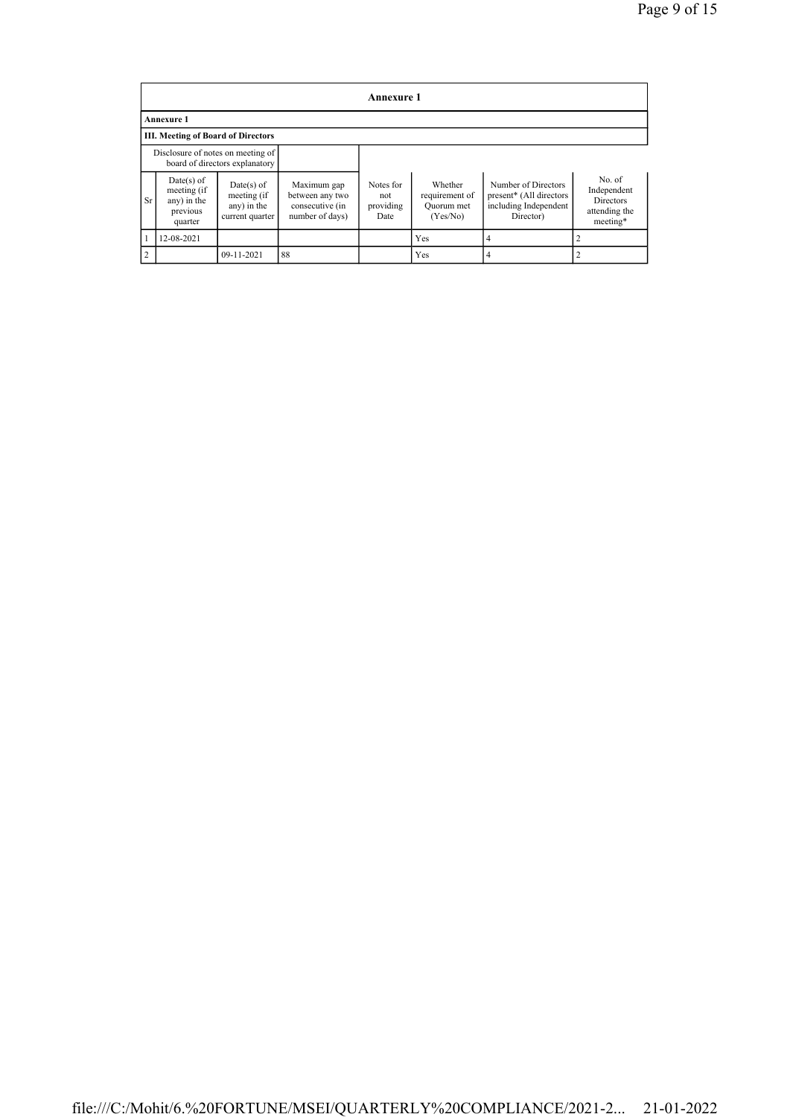|                | Annexure 1                                                        |                                                               |                                                                      |                                       |                                                     |                                                                                      |                                                                        |  |  |  |  |
|----------------|-------------------------------------------------------------------|---------------------------------------------------------------|----------------------------------------------------------------------|---------------------------------------|-----------------------------------------------------|--------------------------------------------------------------------------------------|------------------------------------------------------------------------|--|--|--|--|
|                | <b>Annexure 1</b>                                                 |                                                               |                                                                      |                                       |                                                     |                                                                                      |                                                                        |  |  |  |  |
|                | <b>III. Meeting of Board of Directors</b>                         |                                                               |                                                                      |                                       |                                                     |                                                                                      |                                                                        |  |  |  |  |
|                | Disclosure of notes on meeting of                                 | board of directors explanatory                                |                                                                      |                                       |                                                     |                                                                                      |                                                                        |  |  |  |  |
| Sr             | $Date(s)$ of<br>meeting (if<br>any) in the<br>previous<br>quarter | $Date(s)$ of<br>meeting (if<br>any) in the<br>current quarter | Maximum gap<br>between any two<br>consecutive (in<br>number of days) | Notes for<br>not<br>providing<br>Date | Whether<br>requirement of<br>Quorum met<br>(Yes/No) | Number of Directors<br>present* (All directors<br>including Independent<br>Director) | No. of<br>Independent<br><b>Directors</b><br>attending the<br>meeting* |  |  |  |  |
|                | 12-08-2021                                                        |                                                               |                                                                      |                                       | Yes                                                 | 4                                                                                    | 2                                                                      |  |  |  |  |
| $\overline{2}$ |                                                                   | 09-11-2021                                                    | 88                                                                   |                                       | Yes                                                 | 4                                                                                    | 2                                                                      |  |  |  |  |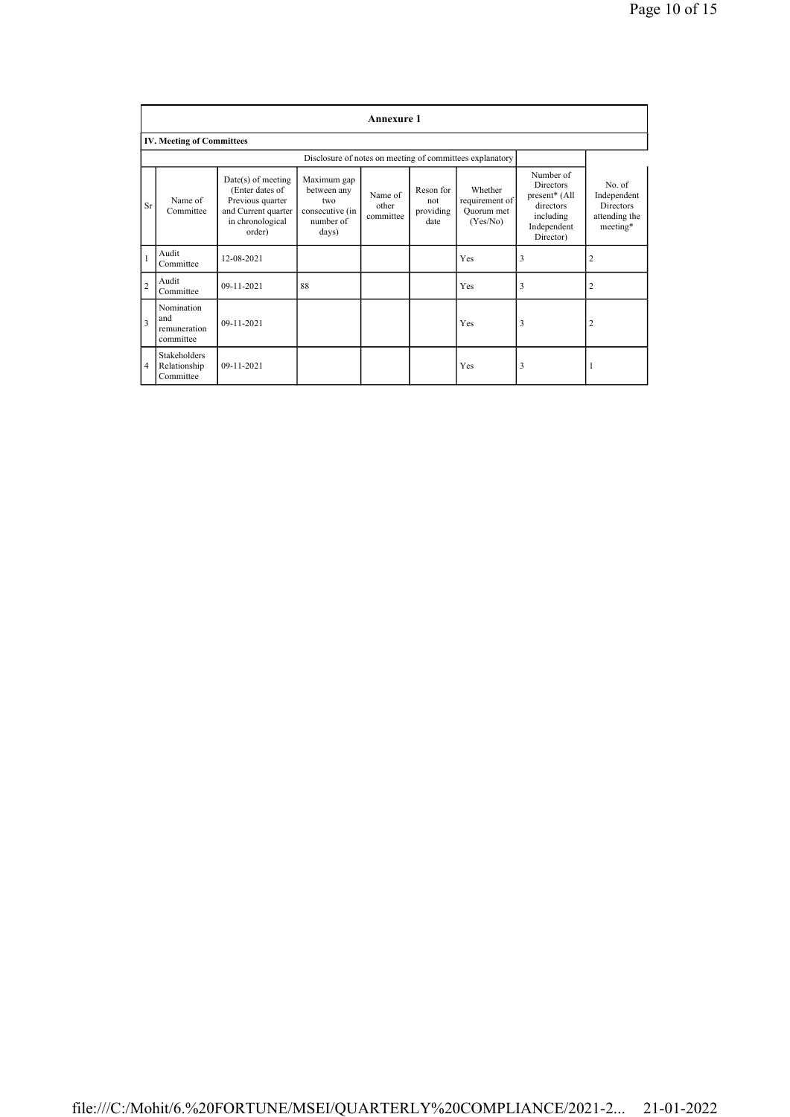|                | <b>Annexure 1</b>                                |                                                                                                                  |                                                                            |                               |                                       |                                                          |                                                                                                      |                                                                 |  |  |  |
|----------------|--------------------------------------------------|------------------------------------------------------------------------------------------------------------------|----------------------------------------------------------------------------|-------------------------------|---------------------------------------|----------------------------------------------------------|------------------------------------------------------------------------------------------------------|-----------------------------------------------------------------|--|--|--|
|                | <b>IV. Meeting of Committees</b>                 |                                                                                                                  |                                                                            |                               |                                       |                                                          |                                                                                                      |                                                                 |  |  |  |
|                |                                                  |                                                                                                                  |                                                                            |                               |                                       | Disclosure of notes on meeting of committees explanatory |                                                                                                      |                                                                 |  |  |  |
| Sr             | Name of<br>Committee                             | $Date(s)$ of meeting<br>(Enter dates of<br>Previous quarter<br>and Current quarter<br>in chronological<br>order) | Maximum gap<br>between any<br>two<br>consecutive (in<br>number of<br>days) | Name of<br>other<br>committee | Reson for<br>not<br>providing<br>date | Whether<br>requirement of<br>Quorum met<br>(Yes/No)      | Number of<br><b>Directors</b><br>present* (All<br>directors<br>including<br>Independent<br>Director) | No. of<br>Independent<br>Directors<br>attending the<br>meeting* |  |  |  |
| $\mathbf{1}$   | Audit<br>Committee                               | 12-08-2021                                                                                                       |                                                                            |                               |                                       | Yes                                                      | 3                                                                                                    | $\overline{c}$                                                  |  |  |  |
| $\overline{2}$ | Audit<br>Committee                               | 09-11-2021                                                                                                       | 88                                                                         |                               |                                       | Yes                                                      | 3                                                                                                    | $\overline{2}$                                                  |  |  |  |
| $\overline{3}$ | Nomination<br>and<br>remuneration<br>committee   | 09-11-2021                                                                                                       |                                                                            |                               |                                       | Yes                                                      | 3                                                                                                    | $\overline{2}$                                                  |  |  |  |
| 4              | <b>Stakeholders</b><br>Relationship<br>Committee | $09 - 11 - 2021$                                                                                                 |                                                                            |                               |                                       | Yes                                                      | 3                                                                                                    |                                                                 |  |  |  |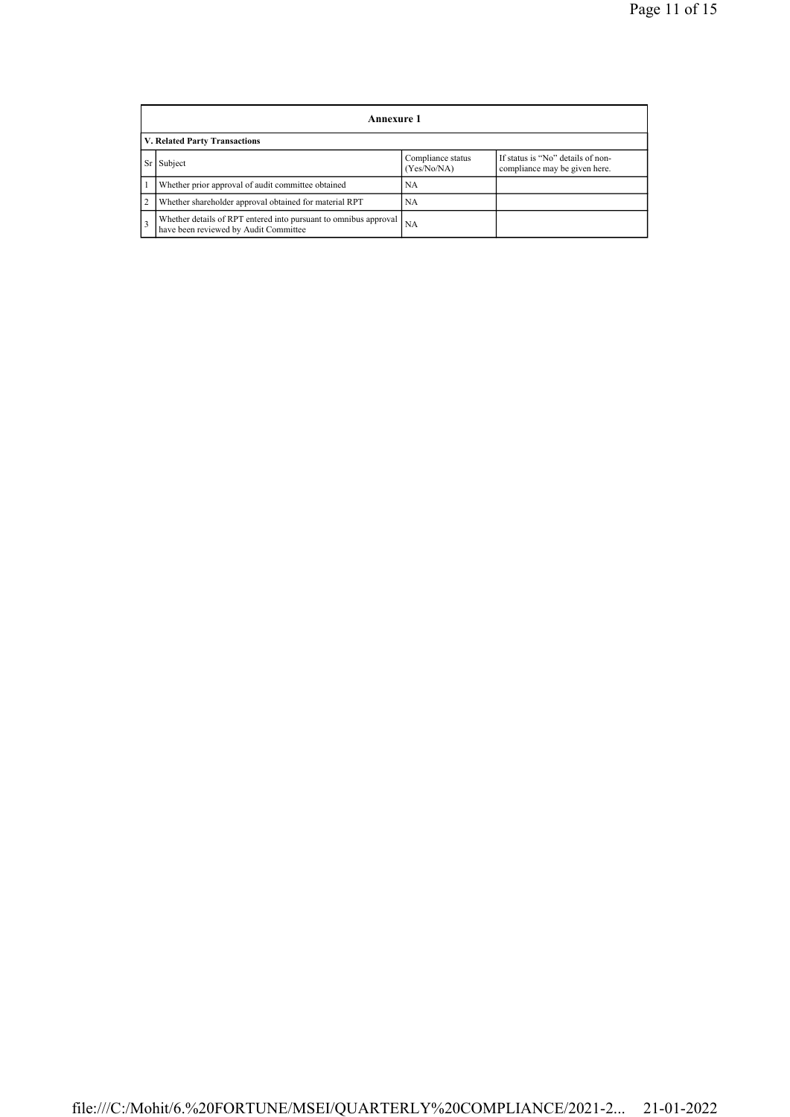|                | Annexure 1                                                                                                |                                  |                                                                    |  |  |  |  |  |  |
|----------------|-----------------------------------------------------------------------------------------------------------|----------------------------------|--------------------------------------------------------------------|--|--|--|--|--|--|
|                | <b>V. Related Party Transactions</b>                                                                      |                                  |                                                                    |  |  |  |  |  |  |
|                | Subject                                                                                                   | Compliance status<br>(Yes/No/NA) | If status is "No" details of non-<br>compliance may be given here. |  |  |  |  |  |  |
|                | Whether prior approval of audit committee obtained                                                        | NA                               |                                                                    |  |  |  |  |  |  |
| $\overline{2}$ | Whether shareholder approval obtained for material RPT                                                    | NA                               |                                                                    |  |  |  |  |  |  |
|                | Whether details of RPT entered into pursuant to omnibus approval<br>have been reviewed by Audit Committee | <b>NA</b>                        |                                                                    |  |  |  |  |  |  |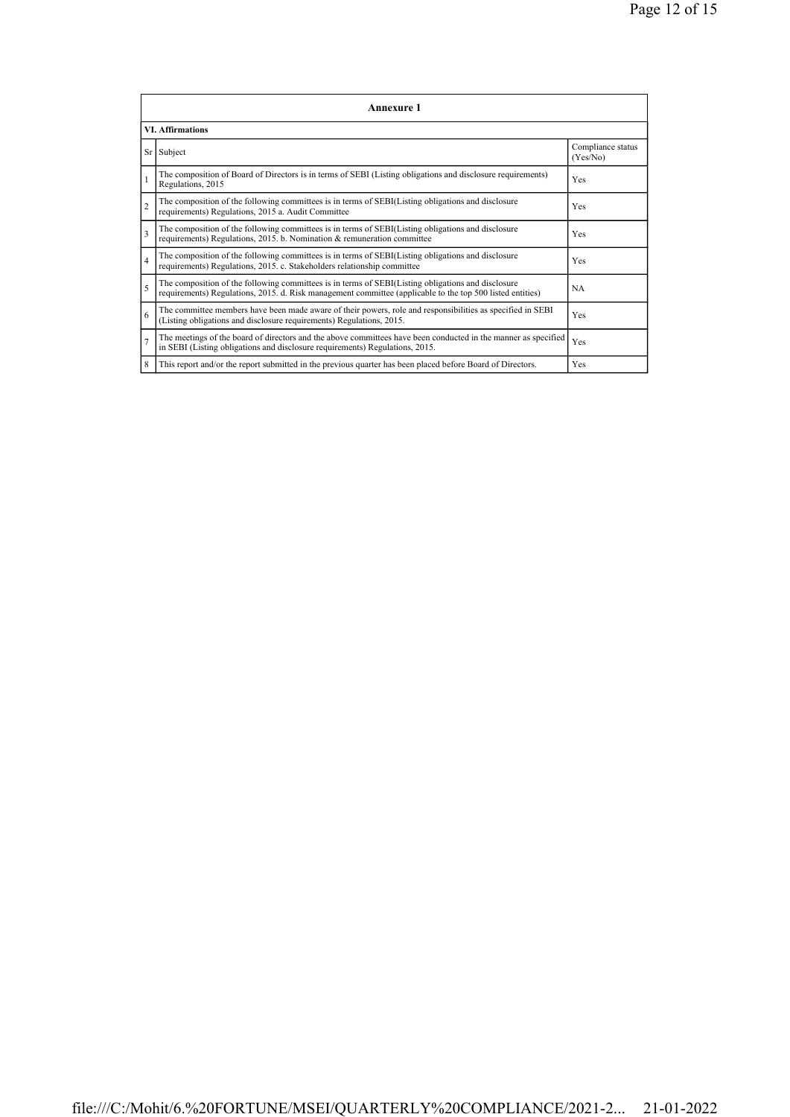|                | <b>Annexure 1</b>                                                                                                                                                                                               |                               |  |  |  |  |  |  |  |  |
|----------------|-----------------------------------------------------------------------------------------------------------------------------------------------------------------------------------------------------------------|-------------------------------|--|--|--|--|--|--|--|--|
|                | <b>VI. Affirmations</b>                                                                                                                                                                                         |                               |  |  |  |  |  |  |  |  |
|                | Sr Subject                                                                                                                                                                                                      | Compliance status<br>(Yes/No) |  |  |  |  |  |  |  |  |
| $\mathbf{1}$   | The composition of Board of Directors is in terms of SEBI (Listing obligations and disclosure requirements)<br>Regulations, 2015                                                                                | Yes                           |  |  |  |  |  |  |  |  |
| $\overline{2}$ | The composition of the following committees is in terms of SEBI(Listing obligations and disclosure<br>requirements) Regulations, 2015 a. Audit Committee                                                        | Yes                           |  |  |  |  |  |  |  |  |
| 3              | The composition of the following committees is in terms of SEBI(Listing obligations and disclosure<br>requirements) Regulations, 2015. b. Nomination & remuneration committee                                   | Yes                           |  |  |  |  |  |  |  |  |
| $\overline{4}$ | The composition of the following committees is in terms of SEBI(Listing obligations and disclosure<br>requirements) Regulations, 2015. c. Stakeholders relationship committee                                   | Yes                           |  |  |  |  |  |  |  |  |
| 5              | The composition of the following committees is in terms of SEBI(Listing obligations and disclosure<br>requirements) Regulations, 2015. d. Risk management committee (applicable to the top 500 listed entities) | <b>NA</b>                     |  |  |  |  |  |  |  |  |
| 6              | The committee members have been made aware of their powers, role and responsibilities as specified in SEBI<br>(Listing obligations and disclosure requirements) Regulations, 2015.                              | Yes                           |  |  |  |  |  |  |  |  |
| $\overline{7}$ | The meetings of the board of directors and the above committees have been conducted in the manner as specified<br>in SEBI (Listing obligations and disclosure requirements) Regulations, 2015.                  | Yes                           |  |  |  |  |  |  |  |  |
| 8              | This report and/or the report submitted in the previous quarter has been placed before Board of Directors.                                                                                                      | Yes                           |  |  |  |  |  |  |  |  |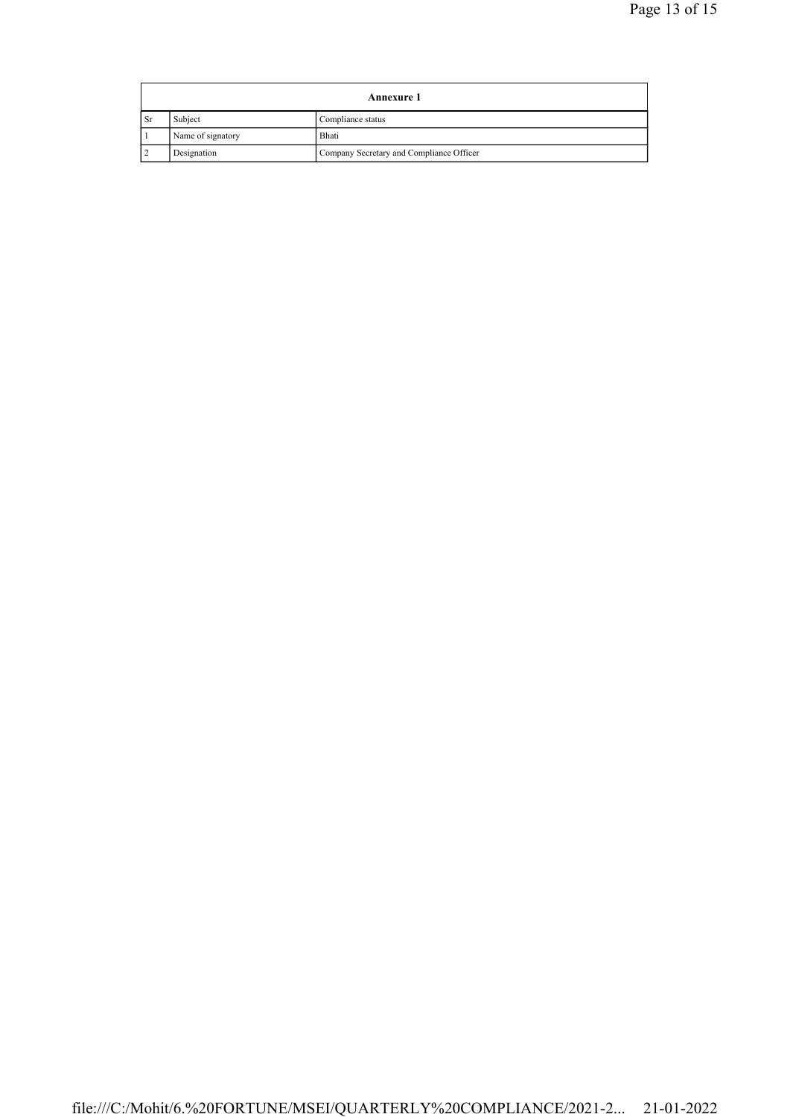| <b>Annexure 1</b> |                   |                                          |
|-------------------|-------------------|------------------------------------------|
| <b>Sr</b>         | Subject           | Compliance status                        |
|                   | Name of signatory | Bhati                                    |
|                   | Designation       | Company Secretary and Compliance Officer |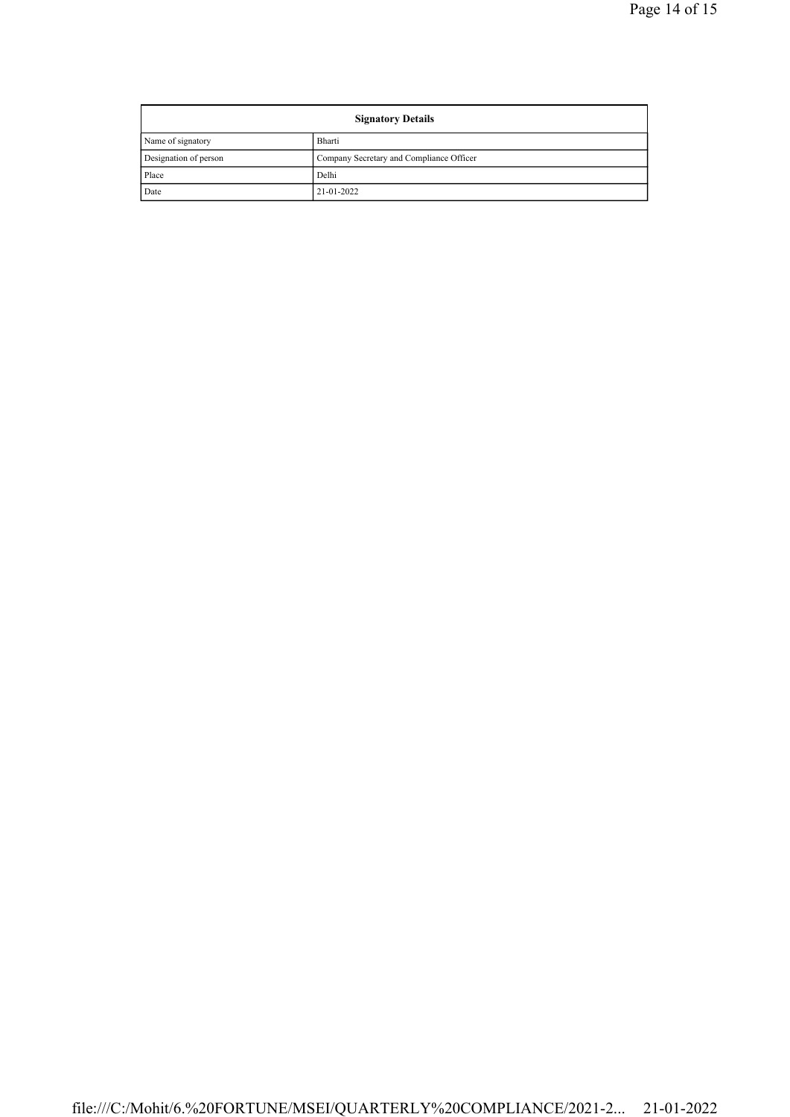| <b>Signatory Details</b> |                                          |  |
|--------------------------|------------------------------------------|--|
| Name of signatory        | Bharti                                   |  |
| Designation of person    | Company Secretary and Compliance Officer |  |
| Place                    | Delhi                                    |  |
| Date                     | 21-01-2022                               |  |